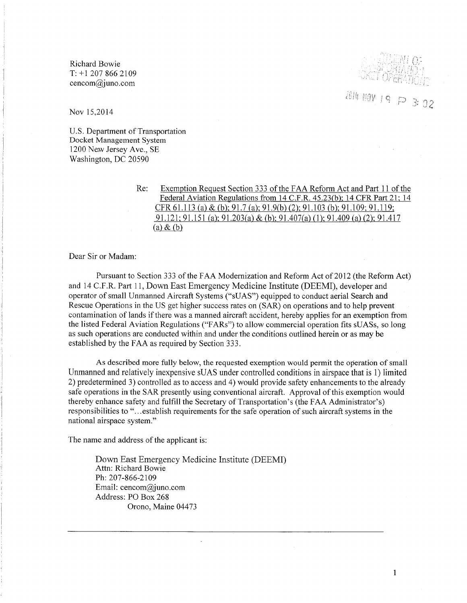Richard Bowie  $T: +1 207 866 2109$ cencom@juno.com



3: 02

Nov 15,2014

U.S. Department of Transportation Docket Management System 1200 New Jersey Ave., SE Washington, DC 20590

> Re: Exemption Request Section 333 of the FAA Reform Act and Part 11 of the Federal Aviation Regulations from 14 C.F.R. 45.23(b); 14 CFR Part 21; 14 CFR 61.113 (a) & (b); 91.7 (a); 91.9(b) (2); 91.103 (b); 91.109; 91.119; 91.121; 91.151 (a); 91.203(a) & (b); 91.407(a) (1); 91.409 (a) (2); 91.417  $(a) \& (b)$

Dear Sir or Madam:

Pursuant to Section 333 of the FAA Modernization and Reform Act of 2012 (the Reform Act) and 14 C.F.R. Part 11, Down East Emergency Medicine Institute (DEEMI), developer and operator of small Unmanned Aircraft Systems ("sUAS") equipped to conduct aerial Search and Rescue Operations in the US get higher success rates on (SAR) on operations and to help prevent contamination of lands if there was a manned aircraft accident, hereby applies for an exemption from the listed Federal Aviation Regulations ("FARs") to allow commercial operation fits sUASs, so long as such operations are conducted within and under the conditions outlined herein or as may be established by the FAA as required by Section 333.

As described more fully below, the requested exemption would permit the operation of small Unmanned and relatively inexpensive sUAS under controlled conditions in airspace that is 1) limited 2) predetermined 3) controlled as to access and 4) would provide safety enhancements to the already safe operations in the SAR presently using conventional aircraft. Approval of this exemption would thereby enhance safety and fulfill the Secretary of Transportation's (the FAA Administrator's) responsibilities to "...establish requirements for the safe operation of such aircraft systems in the national airspace system."

The name and address of the applicant is:

Down East Emergency Medicine Institute (DEEMI) Attn: Richard Bowie Ph: 207-866-2109 Email: cencom@juno.com Address: PO Box 268 Orono, Maine 04473

1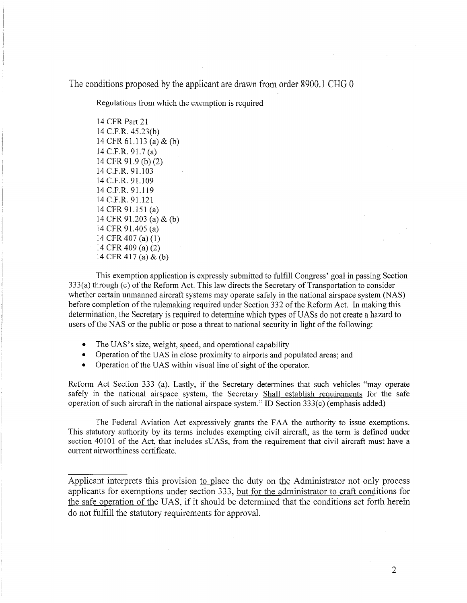The conditions proposed by the applicant are drawn from order 8900.1 CHG 0

Regulations from which the exemption is required

14 CFR Part 21 14 C.P.R. 45.23(b) 14 CFR 61.113 (a) & (b) 14 C.P.R. 91.7 (a) 14 CFR 91.9 (b) (2) 14 C.P.R. 91.103 14 C.P.R. 91.109 14 C.P.R. 91.119 14 C.P.R. 91.121 14 CFR 91.151 (a) 14 CFR 91.203 (a) & (b) 14 CFR 91.405 (a) 14 CFR 407 (a) (1) 14 CFR 409 (a) (2) 14 CPR 417 (a) & (b)

This exemption application is expressly submitted to fulfill Congress' goal in passing Section  $333(a)$  through (c) of the Reform Act. This law directs the Secretary of Transportation to consider whether certain unmanned aircraft systems may operate safely in the national airspace system (NAS) before completion of the rulemaking required under Section 332 of the Reform Act. In making this determination, the Secretary is required to determine which types of UASs do not create a hazard to users of the NAS or the public or pose a threat to national security in light of the following:

- The UAS's size, weight, speed, and operational capability
- Operation of the UAS in close proximity to airports and populated areas; and
- Operation of the UAS within visual line of sight of the operator.

Reform Act Section 333 (a). Lastly, if the Secretary determines that such vehicles "may operate safely in the national airspace system, the Secretary Shall establish requirements for the safe operation of such aircraft in the national airspace system." ID Section  $333(c)$  (emphasis added)

The Federal Aviation Act expressively grants the FAA the authority to issue exemptions. This statutory authority by its terms includes exempting civil aircraft, as the term is defined under section 40101 of the Act, that includes sUASs, from the requirement that civil aircraft must have a current airworthiness certificate.

Applicant interprets this provision to place the duty on the Administrator not only process applicants for exemptions under section 333, but for the administrator to craft conditions for the safe operation of the UAS, if it should be determined that the conditions set forth herein do not fulfill the statutory requirements for approval.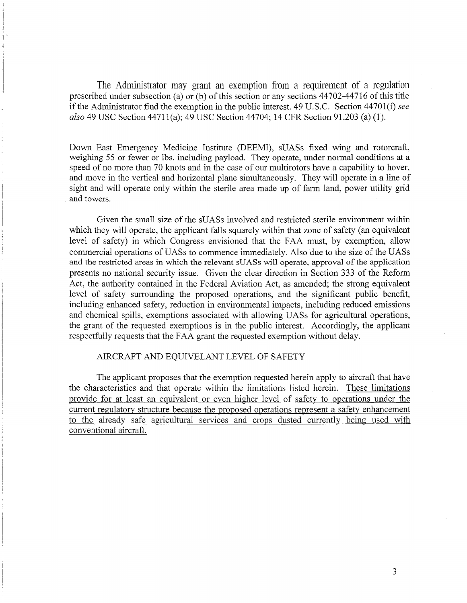The Administrator may grant an exemption from a requirement of a regulation prescribed under subsection (a) or (b) of this section or any sections  $44702-44716$  of this title if the Administrator find the exemption in the public interest. 49 U.S.C. Section 44701(f) *see also* 49 USC Section 44711(a); 49 USC Section 44704; 14 CFR Section 91.203 (a) (1).

Down East Emergency Medicine Institute (DEEMI), sUASs fixed wing and rotorcraft, weighing 55 or fewer or lbs. including payload. They operate, under normal conditions at a speed of no more than 70 knots and in the case of our multirotors have a capability to hover, and move in the vertical and horizontal plane simultaneously. They will operate in a line of sight and will operate only within the sterile area made up of farm land, power utility grid and towers.

Given the small size of the sUASs involved and restricted sterile environment within which they will operate, the applicant falls squarely within that zone of safety (an equivalent level of safety) in which Congress envisioned that the FAA must, by exemption, allow commercial operations of UASs to commence immediately. Also due to the size of the UASs and the restricted areas in which the relevant sUASs will operate, approval of the application presents no national security issue. Given the clear direction in Section 333 of the Reform Act, the authority contained in the Federal Aviation Act, as amended; the strong equivalent level of safety surrounding the proposed operations, and the significant public benefit, including enhanced safety, reduction in environmental impacts, including reduced emissions and chemical spills, exemptions associated with allowing UASs for agricultural operations, the grant of the requested exemptions is in the public interest. Accordingly, the applicant respectfully requests that the FAA grant the requested exemption without delay.

# AIRCRAFT AND EQUIVELANT LEVEL OF SAFETY

The applicant proposes that the exemption requested herein apply to aircraft that have the characteristics and that operate within the limitations listed herein. These limitations provide for at least an equivalent or even higher level of safety to operations under the current regulatory structure because the proposed operations represent a safety enhancement to the already safe agricultural services and crops dusted currently being used with conventional aircraft.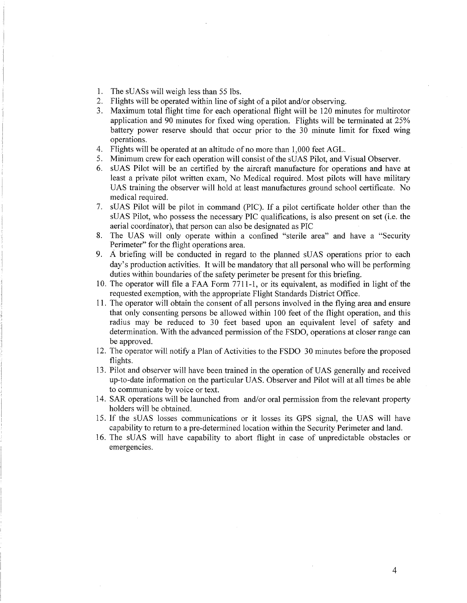- 1. The sUASs will weigh less than 55 lbs.
- 2. Flights will be operated within line of sight of a pilot and/or observing.
- 3. Maximum total flight time for each operational flight will be 120 minutes for multirotor application and 90 minutes for fixed wing operation. Flights will be terminated at 25% battery power reserve should that occur prior to the 30 minute limit for fixed wing operations.
- 4. Flights will be operated at an altitude of no more than 1,000 feet AGL.
- 5. Minimum crew for each operation will consist of the sUAS Pilot, and Visual Observer.
- 6. sUAS Pilot will be an certified by the aircraft manufacture for operations and have at least a private pilot written exam, No Medical required. Most pilots will have military UAS training the observer will hold at least manufactures ground school certificate. No medical required.
- 7. sUAS Pilot will be pilot in command (PIC). If a pilot certificate holder other than the sUAS Pilot, who possess the necessary PIC qualifications, is also present on set (i.e. the aerial coordinator), that person can also be designated as PIC
- 8. The UAS will only operate within a confined "sterile area" and have a "Security Perimeter" for the flight operations area.
- 9. A briefing will be conducted in regard to the planned sUAS operations prior to each day's production activities. It will be mandatory that all personal who will be performing duties within boundaries of the safety perimeter be present for this briefing.
- 10. The operator will file a FAA Form 77ll-1, or its equivalent, as modified in light of the requested exemption, with the appropriate Flight Standards District Office.
- 11. The operator will obtain the consent of all persons involved in the flying area and ensure that only consenting persons be allowed within 100 feet of the flight operation, and this radius may be reduced to 30 feet based upon an equivalent level of safety and determination. With the advanced permission of the FSDO, operations at closer range can be approved.
- 12. The operator will notify a Plan of Activities to the FSDO 30 minutes before the proposed flights.
- 13. Pilot and observer will have been trained in the operation of UAS generally and received up-to-date information on the particular UAS. Observer and Pilot will at all times be able to communicate by voice or text.
- 14. SAR operations will be launched from and/or oral permission from the relevant property holders will be obtained.
- 15. If the sUAS losses communications or it losses its GPS signal, the UAS will have capability to return to a pre-determined location within the Security Perimeter and land.
- 16. The sUAS will have capability to abort flight in case of unpredictable obstacles or emergencies.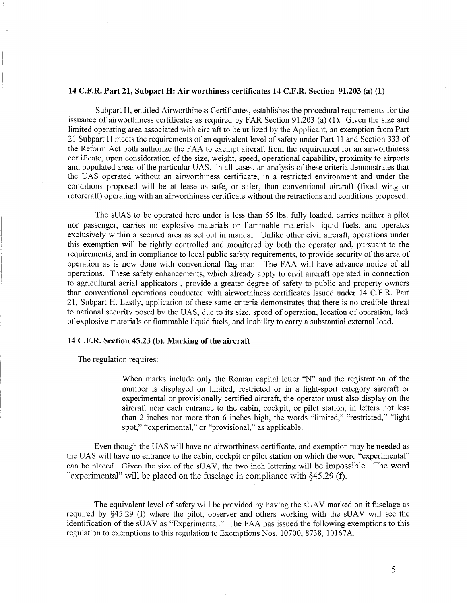#### **14 C.F.R. Part 21, Subpart H: Air worthiness certificates 14 C.F.R. Section 91.203 (a) (1)**

Subpart H, entitled Airworthiness Certificates, establishes the procedural requirements for the issuance of airworthiness certificates as required by FAR Section 91.203 (a) (1). Given the size and limited operating area associated with aircraft to be utilized by the Applicant, an exemption from Part 21 Subpart H meets the requirements of an equivalent level of safety under Part 11 and Section 333 of the Reform Act both authorize the FAA to exempt aircraft from the requirement for an airworthiness certificate, upon consideration of the size, weight, speed, operational capability, proximity to airports and populated areas of the particular UAS. In all cases, an analysis of these criteria demonstrates that the UAS operated without an airworthiness certificate, in a restricted environment and under the conditions proposed will be at lease as safe, or safer, than conventional aircraft (fixed wing or rotorcraft) operating with an airworthiness certificate without the retractions and conditions proposed.

The sUAS to be operated here under is less than 55 lbs. fully loaded, carries neither a pilot nor passenger, carries no explosive materials or flammable materials liquid fuels, and operates exclusively within a secured area as set out in manual. Unlike other civil aircraft, operations under this exemption will be tightly controlled and monitored by both the operator and, pursuant to the requirements, and in compliance to local public safety requirements, to provide security of the area of operation as is now done with conventional flag man. The FAA will have advance notice of all operations. These safety enhancements, which already apply to civil aircraft operated in connection to agricultural aerial applicators , provide a greater degree of safety to public and property owners than conventional operations conducted with airworthiness certificates issued under 14 C.P.R. Part 21, Subpart H. Lastly, application of these same criteria demonstrates that there is no credible threat to national security posed by the UAS, due to its size, speed of operation, location of operation, lack of explosive materials or flammable liquid fuels, and inability to carry a substantial external load.

## **14 C.F .R. Section 45.23 (b). Marking of the aircraft**

The regulation requires:

When marks include only the Roman capital letter "N" and the registration of the number is displayed on limited, restricted or in a light-sport category aircraft or experimental or provisionally certified aircraft, the operator must also display on the aircraft near each entrance to the cabin, cockpit, or pilot station, in letters not less than 2 inches nor more than 6 inches high, the words "limited," "restricted," "light spot," "experimental," or "provisional," as applicable.

Even though the UAS will have no airworthiness certificate, and exemption may be needed as the UAS will have no entrance to the cabin, cockpit or pilot station on which the word "experimental" can be placed. Given the size of the sUAV, the two inch lettering will be impossible. The word "experimental" will be placed on the fuselage in compliance with §45.29 (f).

The equivalent level of safety will be provided by having the sUAV marked on it fuselage as required by §45.29 (f) where the pilot, observer and others working with the sUAV will see the identification of the sUAV as "Experimental." The FAA has issued the following exemptions to this regulation to exemptions to this regulation to Exemptions Nos. 10700, 8738, 10167A.

5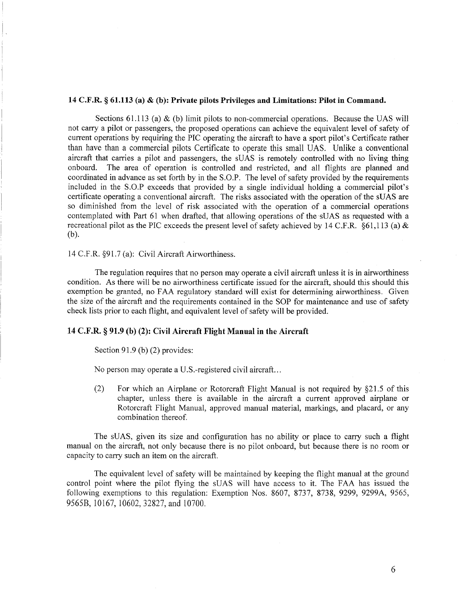## **14 C.F.R. § 61.113 (a) & (b): Private pilots Privileges and Limitations: Pilot in Command.**

Sections 61.113 (a)  $\&$  (b) limit pilots to non-commercial operations. Because the UAS will not carry a pilot or passengers, the proposed operations can achieve the equivalent level of safety of current operations by requiring the PIC operating the aircraft to have a sport pilot's Certificate rather than have than a commercial pilots Certificate to operate this small UAS. Unlike a conventional aircraft that carries a pilot and passengers, the sUAS is remotely controlled with no living thing onboard. The area of operation is controlled and restricted, and all flights are planned and coordinated in advance as set forth by in the S.O.P. The level of safety provided by the requirements included in the S.O.P exceeds that provided by a single individual holding a commercial pilot's certificate operating a conventional aircraft. The risks associated with the operation of the sUAS are so diminished from the level of risk associated with the operation of a commercial operations contemplated with Part 61 when drafted, that allowing operations of the sUAS as requested with a recreational pilot as the PIC exceeds the present level of safety achieved by 14 C.F.R. §61,113 (a)  $\&$ (b).

### 14 C.F.R. §91.7 (a): Civil Aircraft Airworthiness.

The regulation requires that no person may operate a civil aircraft unless it is in airworthiness condition. As there will be no airworthiness certificate issued for the aircraft, should this should this exemption be granted, no FAA regulatory standard will exist for determining airworthiness. Given the size of the aircraft and the requirements contained in the SOP for maintenance and use of safety check lists prior to each flight, and equivalent level of safety will be provided.

# **14 C.F.R. § 91.9 (b) (2): Civil Aircraft Flight Manual in the Aircraft**

#### Section 91.9 (b) (2) provides:

No person may operate a U.S.-registered civil aircraft...

(2) For which an Airplane or Rotorcraft Flight Manual is not required by §21.5 of this chapter, unless there is available in the aircraft a current approved airplane or Rotorcraft Flight Manual, approved manual material, markings, and placard, or any combination thereof.

The sUAS, given its size and configuration has no ability or place to carry such a flight manual on the aircraft, not only because there is no pilot onboard, but because there is no room or capacity to carry such an item on the aircraft.

The equivalent level of safety will be maintained by keeping the flight manual at the ground control point where the pilot flying the sUAS will have access to it. The FAA has issued the following exemptions to this regulation: Exemption Nos. 8607, 8737, 8738, 9299, 9299A, 9565, 9565B, 10167, 10602, 32827, and 10700.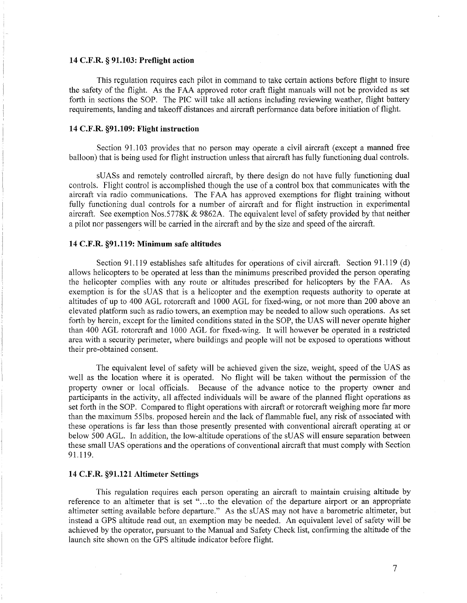#### **14 C.F.R. § 91.103: Preflight action**

This regulation requires each pilot in command to take certain actions before flight to insure the safety of the flight. As the FAA approved rotor craft flight manuals will not be provided as set forth in sections the SOP. The PIC will take all actions including reviewing weather, flight battery requirements, landing and takeoff distances and aircraft performance data before initiation of flight.

#### **14 C.F.R. §91.109: Flight instruction**

Section 91.103 provides that no person may operate a civil aircraft (except a manned free balloon) that is being used for flight instruction unless that aircraft has fully functioning dual controls.

sUASs and remotely controlled aircraft, by there design do not have fully functioning dual controls. Flight control is accomplished though the use of a control box that communicates with the aircraft via radio communications. The FAA has approved exemptions for flight training without fully functioning dual controls for a number of aircraft and for flight instruction in experimental aircraft. See exemption Nos.5778K & 9862A. The equivalent level of safety provided by that neither a pilot nor passengers will be carried in the aircraft and by the size and speed of the aircraft.

#### **14 C.F.R. §91.119: Minimum safe altitudes**

Section 91.119 establishes safe altitudes for operations of civil aircraft. Section 91.119 (d) allows helicopters to be operated at less than the minimums prescribed provided the person operating the helicopter complies with any route or altitudes prescribed for helicopters by the FAA. As exemption is for the sUAS that is a helicopter and the exemption requests authority to operate at altitudes of up to 400 AGL rotorcraft and 1000 AGL for fixed-wing, or not more than 200 above an elevated platform such as radio towers, an exemption may be needed to allow such operations. As set forth by herein, except for the limited conditions stated in the SOP, the UAS will never operate higher than 400 AGL rotorcraft and 1000 AGL for fixed-wing. It will however be operated in a restricted area with a security perimeter, where buildings and people will not be exposed to operations without their pre-obtained consent.

The equivalent level of safety will be achieved given the size, weight, speed of the UAS as well as the location where it is operated. No flight will be taken without the permission of the property owner or local officials. Because of the advance notice to the property owner and participants in the activity, all affected individuals will be aware of the planned flight operations as set forth in the SOP. Compared to flight operations with aircraft or rotorcraft weighing more far more than the maximum 55lbs. proposed herein and the lack of flammable fuel, any risk of associated with these operations is far less than those presently presented with conventional aircraft operating at or below 500 AGL. In addition, the low-altitude operations of the sUAS will ensure separation between these small UAS operations and the operations of conventional aircraft that must comply with Section 91.119.

# **14 C.F.R. §91.121 Altimeter Settings**

This regulation requires each person operating an aircraft to maintain cruising altitude by reference to an altimeter that is set "...to the elevation of the departure airport or an appropriate altimeter setting available before departure." As the sUAS may not have a barometric altimeter, but instead a GPS altitude read out, an exemption may be needed. An equivalent level of safety will be achieved by the operator, pursuant to the Manual and Safety Check list, confirming the altitude of the launch site shown on the GPS altitude indicator before flight.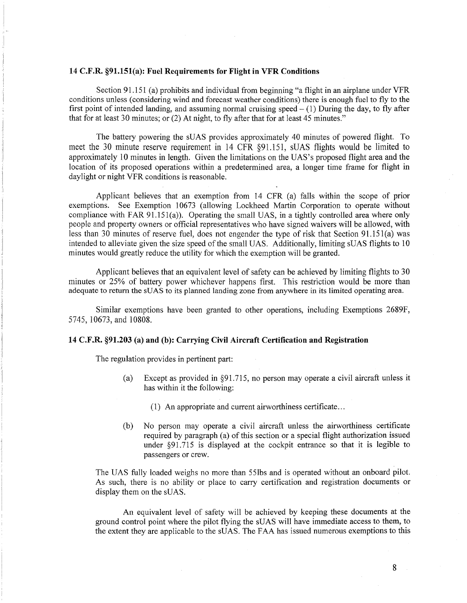#### **14 C.F.R. §91.151(a): Fuel Requirements for Flight in VFR Conditions**

Section 91.151 (a) prohibits and individual from beginning "a flight in an airplane under VFR conditions unless (considering wind and forecast weather conditions) there is enough fuel to fly to the first point of intended landing, and assuming normal cruising speed  $- (1)$  During the day, to fly after that for at least 30 minutes; or (2) At night, to fly after that for at least 45 minutes."

The battery powering the sUAS provides approximately 40 minutes of powered flight. To meet the 30 minute reserve requirement in 14 CFR §91.151, sUAS flights would be limited to approximately 10 minutes in length. Given the limitations on the UAS's proposed flight area and the location of its proposed operations within a predetermined area, a longer time frame for flight in daylight or night VFR conditions is reasonable.

Applicant believes that an exemption from 14 CFR (a) falls within the scope of prior exemptions. See Exemption 10673 (allowing Lockheed Martin Corporation to operate without compliance with FAR 91.151(a)). Operating the small UAS, in a tightly controlled area where only people and property owners or official representatives who have signed waivers will be allowed, with less than 30 minutes of reserve fuel, does not engender the type of risk that Section 91.15l(a) was intended to alleviate given the size speed of the small UAS. Additionally, limiting sUAS flights to 10 minutes would greatly reduce the utility for which the exemption will be granted.

Applicant believes that an equivalent level of safety can be achieved by limiting flights to 30 minutes or 25% of battery power whichever happens first. This restriction would be more than adequate to return the sUAS to its planned landing zone from anywhere in its limited operating area.

Similar exemptions have been granted to other operations, including Exemptions 2689F, 5745, 10673, and 10808.

### **14 C.F.R. §91.203** (a) **and (b): Carrying Civil Aircraft Certification and Registration**

The regulation provides in pertinent part:

- (a) Except as provided in §91.715, no person may operate a civil aircraft unless it has within it the following:
	- (1) An appropriate and current airworthiness certificate ...
- (b) No person may operate a civil aircraft unless the airworthiness certificate required by paragraph (a) of this section or a special flight authorization issued under §91.715 is displayed at the cockpit entrance so that it is legible to passengers or crew.

The UAS fully loaded weighs no more than 55lbs and is operated without an onboard pilot. As such, there is no ability or place to carry certification and registration documents or display them on the sUAS.

An equivalent level of safety will be achieved by keeping these documents at the ground control point where the pilot flying the sUAS will have immediate access to them, to the extent they are applicable to the sUAS. The FAA has issued numerous exemptions to this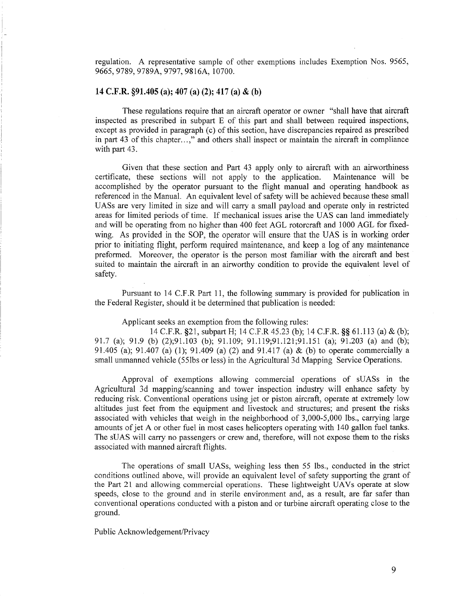regulation. A representative sample of other exemptions includes Exemption Nos. 9565, 9665,9789,9789A,9797,9816A, 10700.

#### **14 C.F.R. §91.405** (a); **407** (a) **(2); 417** (a) & **(b)**

These regulations require that an aircraft operator or owner "shall have that aircraft inspected as prescribed in subpart E of this part and shall between required inspections, except as provided in paragraph (c) of this section, have discrepancies repaired as prescribed in part 43 of this chapter. .. ," and others shall inspect or maintain the aircraft in compliance with part 43.

Given that these section and Part 43 apply only to aircraft with an airworthiness certificate, these sections will not apply to the application. Maintenance will be accomplished by the operator pursuant to the flight manual and operating handbook as referenced in the Manual. An equivalent level of safety will be achieved because these small UASs are very limited in size and will carry a small payload and operate only in restricted areas for limited periods of time. If mechanical issues arise the UAS can land immediately and will be operating from no higher than 400 feet AGL rotorcraft and 1000 AGL for fixedwing. As provided in the SOP, the operator will ensure that the UAS is in working order prior to initiating flight, perform required maintenance, and keep a log of any maintenance preformed. Moreover, the operator is the person most familiar with the aircraft and best suited to maintain the aircraft in an airworthy condition to provide the equivalent level of safety.

Pursuant to 14 C.F.R Part 11, the following summary is provided for publication in the Federal Register, should it be determined that publication is needed:

Applicant seeks an exemption from the following rules:

14 C.P.R. §21, subpart H; 14 C.F.R 45.23 (b); 14 C.P.R.§§ 61.113 (a) & (b); 91.7 (a); 91.9 (b) (2);91.103 (b); 91.109; 91.119;91.121;91.151 (a); 91.203 (a) and (b); 91.405 (a); 91.407 (a) (1); 91.409 (a) (2) and 91.417 (a) & (b) to operate commercially a small unmanned vehicle (55lbs or less) in the Agricultural 3d Mapping Service Operations.

Approval of exemptions allowing commercial operations of sUASs in the Agricultural 3d mapping/scanning and tower inspection industry will enhance safety by reducing risk. Conventional operations using jet or piston aircraft, operate at extremely low altitudes just feet from the equipment and livestock and structures; and present the risks associated with vehicles that weigh in the neighborhood of 3,000-5,000 lbs., carrying large amounts of jet A or other fuel in most cases helicopters operating with 140 gallon fuel tanks. The sUAS will carry no passengers or crew and, therefore, will not expose them to the risks associated with manned aircraft flights.

The operations of small UASs, weighing less then 55 lbs., conducted in the strict conditions outlined above, will provide an equivalent level of safety supporting the grant of the Part 21 and allowing commercial operations. These lightweight UAVs operate at slow speeds, close to the ground and in sterile environment and, as a result, are far safer than conventional operations conducted with a piston and or turbine aircraft operating close to the ground.

Public Acknowledgement/Privacy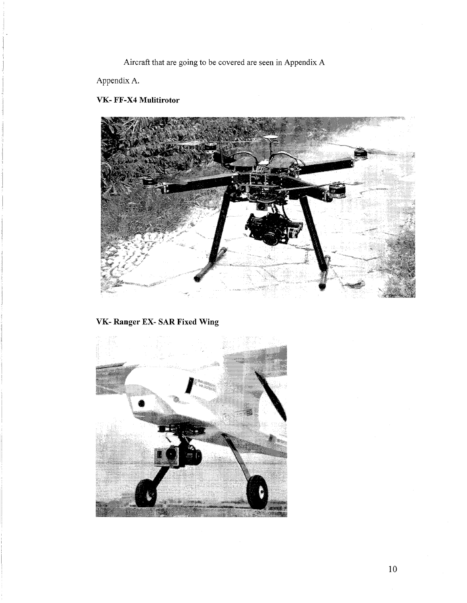Aircraft that are going to be covered are seen in Appendix A

Appendix A.

# **VK- FF-X4 Mulitirotor**



# **VK- Ranger** EX- SAR **Fixed Wing**

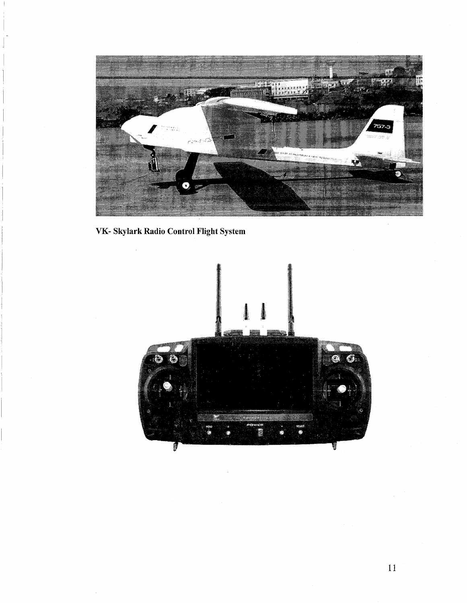

VK- Skylark Radio Control Flight System